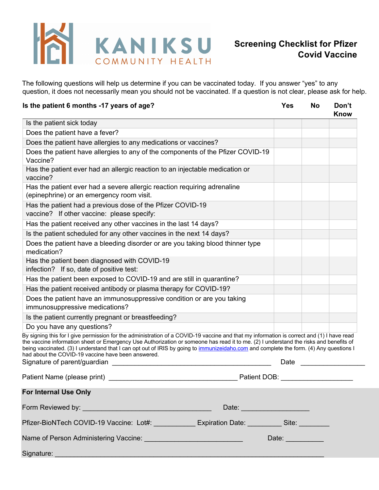

The following questions will help us determine if you can be vaccinated today. If you answer "yes" to any question, it does not necessarily mean you should not be vaccinated. If a question is not clear, please ask for help.

| Is the patient 6 months -17 years of age?                                                                                                                                                                                                                                                                                                                                                                                                                                                                          | Yes                     | No | Don't<br><b>Know</b> |
|--------------------------------------------------------------------------------------------------------------------------------------------------------------------------------------------------------------------------------------------------------------------------------------------------------------------------------------------------------------------------------------------------------------------------------------------------------------------------------------------------------------------|-------------------------|----|----------------------|
| Is the patient sick today                                                                                                                                                                                                                                                                                                                                                                                                                                                                                          |                         |    |                      |
| Does the patient have a fever?                                                                                                                                                                                                                                                                                                                                                                                                                                                                                     |                         |    |                      |
| Does the patient have allergies to any medications or vaccines?                                                                                                                                                                                                                                                                                                                                                                                                                                                    |                         |    |                      |
| Does the patient have allergies to any of the components of the Pfizer COVID-19<br>Vaccine?                                                                                                                                                                                                                                                                                                                                                                                                                        |                         |    |                      |
| Has the patient ever had an allergic reaction to an injectable medication or<br>vaccine?                                                                                                                                                                                                                                                                                                                                                                                                                           |                         |    |                      |
| Has the patient ever had a severe allergic reaction requiring adrenaline<br>(epinephrine) or an emergency room visit.                                                                                                                                                                                                                                                                                                                                                                                              |                         |    |                      |
| Has the patient had a previous dose of the Pfizer COVID-19<br>vaccine? If other vaccine: please specify:                                                                                                                                                                                                                                                                                                                                                                                                           |                         |    |                      |
| Has the patient received any other vaccines in the last 14 days?                                                                                                                                                                                                                                                                                                                                                                                                                                                   |                         |    |                      |
| Is the patient scheduled for any other vaccines in the next 14 days?                                                                                                                                                                                                                                                                                                                                                                                                                                               |                         |    |                      |
| Does the patient have a bleeding disorder or are you taking blood thinner type<br>medication?                                                                                                                                                                                                                                                                                                                                                                                                                      |                         |    |                      |
| Has the patient been diagnosed with COVID-19<br>infection? If so, date of positive test:                                                                                                                                                                                                                                                                                                                                                                                                                           |                         |    |                      |
| Has the patient been exposed to COVID-19 and are still in quarantine?                                                                                                                                                                                                                                                                                                                                                                                                                                              |                         |    |                      |
| Has the patient received antibody or plasma therapy for COVID-19?                                                                                                                                                                                                                                                                                                                                                                                                                                                  |                         |    |                      |
| Does the patient have an immunosuppressive condition or are you taking<br>immunosuppressive medications?                                                                                                                                                                                                                                                                                                                                                                                                           |                         |    |                      |
| Is the patient currently pregnant or breastfeeding?                                                                                                                                                                                                                                                                                                                                                                                                                                                                |                         |    |                      |
| Do you have any questions?                                                                                                                                                                                                                                                                                                                                                                                                                                                                                         |                         |    |                      |
| By signing this for I give permission for the administration of a COVID-19 vaccine and that my information is correct and (1) I have read<br>the vaccine information sheet or Emergency Use Authorization or someone has read it to me. (2) I understand the risks and benefits of<br>being vaccinated. (3) I understand that I can opt out of IRIS by going to immunizeidaho.com and complete the form. (4) Any questions I<br>had about the COVID-19 vaccine have been answered.<br>Signature of parent/guardian | Date                    |    |                      |
| Patient Name (please print)<br>Patient DOB:                                                                                                                                                                                                                                                                                                                                                                                                                                                                        |                         |    |                      |
| <b>For Internal Use Only</b>                                                                                                                                                                                                                                                                                                                                                                                                                                                                                       |                         |    |                      |
| Date: _________________________                                                                                                                                                                                                                                                                                                                                                                                                                                                                                    |                         |    |                      |
| Pfizer-BioNTech COVID-19 Vaccine: Lot#: Lotechnomedic Expiration Date: Letter Lotechnomedic Site: Letter Lotec                                                                                                                                                                                                                                                                                                                                                                                                     |                         |    |                      |
|                                                                                                                                                                                                                                                                                                                                                                                                                                                                                                                    | Date: <u>__________</u> |    |                      |
| Signature:<br><u> 1989 - Johann Stein, marwolaethau a bhann an t-Amhain an t-Amhain an t-Amhain an t-Amhain an t-Amhain an t-A</u>                                                                                                                                                                                                                                                                                                                                                                                 |                         |    |                      |